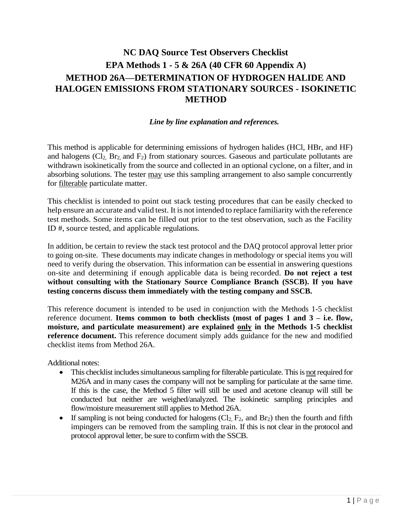# **NC DAQ Source Test Observers Checklist EPA Methods 1 - 5 & 26A (40 CFR 60 Appendix A) METHOD 26A—DETERMINATION OF HYDROGEN HALIDE AND HALOGEN EMISSIONS FROM STATIONARY SOURCES - ISOKINETIC METHOD**

## *Line by line explanation and references.*

This method is applicable for determining emissions of hydrogen halides (HCl, HBr, and HF) and halogens  $(Cl<sub>2</sub>, Br<sub>2</sub>, and F<sub>2</sub>)$  from stationary sources. Gaseous and particulate pollutants are withdrawn isokinetically from the source and collected in an optional cyclone, on a filter, and in absorbing solutions. The tester may use this sampling arrangement to also sample concurrently for filterable particulate matter.

This checklist is intended to point out stack testing procedures that can be easily checked to help ensure an accurate and valid test. It is not intended to replace familiarity with the reference test methods. Some items can be filled out prior to the test observation, such as the Facility ID #, source tested, and applicable regulations.

In addition, be certain to review the stack test protocol and the DAQ protocol approval letter prior to going on-site. These documents may indicate changes in methodology or special items you will need to verify during the observation. This information can be essential in answering questions on-site and determining if enough applicable data is being recorded. **Do not reject a test without consulting with the Stationary Source Compliance Branch (SSCB). If you have testing concerns discuss them immediately with the testing company and SSCB.**

This reference document is intended to be used in conjunction with the Methods 1-5 checklist reference document. **Items common to both checklists (most of pages 1 and 3 – i.e. flow, moisture, and particulate measurement) are explained only in the Methods 1-5 checklist reference document.** This reference document simply adds guidance for the new and modified checklist items from Method 26A.

Additional notes:

- This checklist includes simultaneous sampling for filterable particulate. This is notrequired for M26A and in many cases the company will not be sampling for particulate at the same time. If this is the case, the Method 5 filter will still be used and acetone cleanup will still be conducted but neither are weighed/analyzed. The isokinetic sampling principles and flow/moisture measurement still applies to Method 26A.
- If sampling is not being conducted for halogens  $(Cl_2, F_2,$  and  $Br_2)$  then the fourth and fifth impingers can be removed from the sampling train. If this is not clear in the protocol and protocol approval letter, be sure to confirm with the SSCB.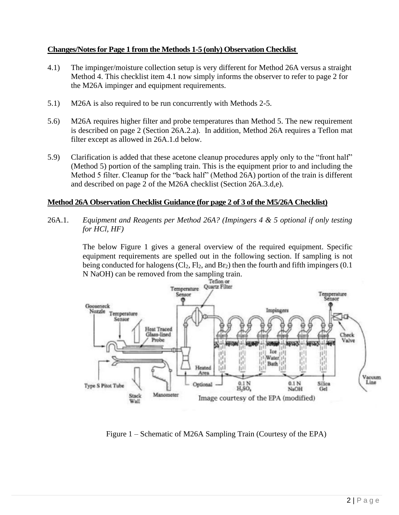## **Changes/Notesfor Page 1 from the Methods 1-5 (only) Observation Checklist**

- 4.1) The impinger/moisture collection setup is very different for Method 26A versus a straight Method 4. This checklist item 4.1 now simply informs the observer to refer to page 2 for the M26A impinger and equipment requirements.
- 5.1) M26A is also required to be run concurrently with Methods 2-5.
- 5.6) M26A requires higher filter and probe temperatures than Method 5. The new requirement is described on page 2 (Section 26A.2.a). In addition, Method 26A requires a Teflon mat filter except as allowed in 26A.1.d below.
- 5.9) Clarification is added that these acetone cleanup procedures apply only to the "front half" (Method 5) portion of the sampling train. This is the equipment prior to and including the Method 5 filter. Cleanup for the "back half" (Method 26A) portion of the train is different and described on page 2 of the M26A checklist (Section 26A.3.d,e).

## **Method 26A Observation Checklist Guidance (for page 2 of 3 of the M5/26A Checklist)**

26A.1. *Equipment and Reagents per Method 26A? (Impingers 4 & 5 optional if only testing for HCl, HF)*

> The below Figure 1 gives a general overview of the required equipment. Specific equipment requirements are spelled out in the following section. If sampling is not being conducted for halogens  $(Cl_2, Fl_2, and Br_2)$  then the fourth and fifth impingers  $(0.1)$ N NaOH) can be removed from the sampling train.



Figure 1 – Schematic of M26A Sampling Train (Courtesy of the EPA)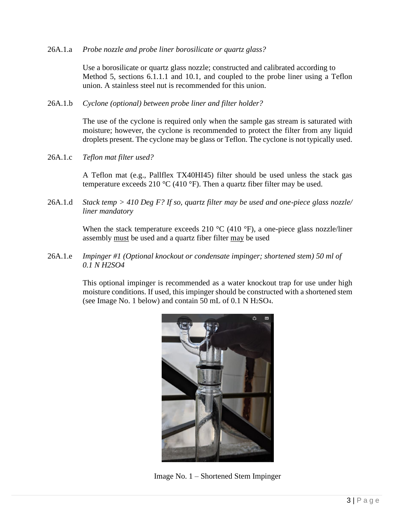#### 26A.1.a *Probe nozzle and probe liner borosilicate or quartz glass?*

Use a borosilicate or quartz glass nozzle; constructed and calibrated according to Method 5, sections 6.1.1.1 and 10.1, and coupled to the probe liner using a Teflon union. A stainless steel nut is recommended for this union.

#### 26A.1.b *Cyclone (optional) between probe liner and filter holder?*

The use of the cyclone is required only when the sample gas stream is saturated with moisture; however, the cyclone is recommended to protect the filter from any liquid droplets present. The cyclone may be glass or Teflon. The cyclone is not typically used.

26A.1.c *Teflon mat filter used?*

A Teflon mat (e.g., Pallflex TX40HI45) filter should be used unless the stack gas temperature exceeds 210  $^{\circ}$ C (410  $^{\circ}$ F). Then a quartz fiber filter may be used.

26A.1.d *Stack temp > 410 Deg F? If so, quartz filter may be used and one-piece glass nozzle/ liner mandatory*

> When the stack temperature exceeds 210  $\degree$ C (410  $\degree$ F), a one-piece glass nozzle/liner assembly must be used and a quartz fiber filter may be used

26A.1.e *Impinger #1 (Optional knockout or condensate impinger; shortened stem) 50 ml of 0.1 N H2SO4*

> This optional impinger is recommended as a water knockout trap for use under high moisture conditions. If used, this impinger should be constructed with a shortened stem (see Image No. 1 below) and contain 50 mL of 0.1 N H2SO4.



Image No. 1 – Shortened Stem Impinger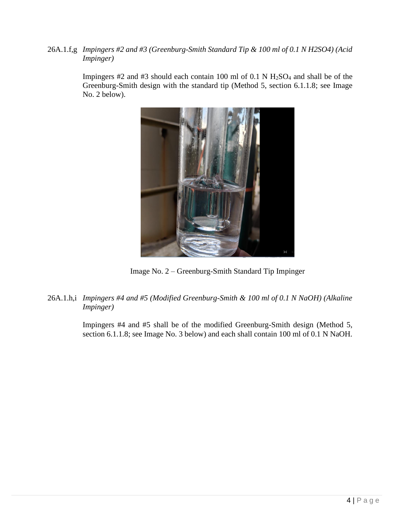26A.1.f,g *Impingers #2 and #3 (Greenburg-Smith Standard Tip & 100 ml of 0.1 N H2SO4) (Acid Impinger)*

> Impingers  $#2$  and  $#3$  should each contain 100 ml of 0.1 N  $H_2SO_4$  and shall be of the Greenburg-Smith design with the standard tip (Method 5, section 6.1.1.8; see Image No. 2 below).



Image No. 2 – Greenburg-Smith Standard Tip Impinger

26A.1.h,i *Impingers #4 and #5 (Modified Greenburg-Smith & 100 ml of 0.1 N NaOH) (Alkaline Impinger)*

> Impingers #4 and #5 shall be of the modified Greenburg-Smith design (Method 5, section 6.1.1.8; see Image No. 3 below) and each shall contain 100 ml of 0.1 N NaOH.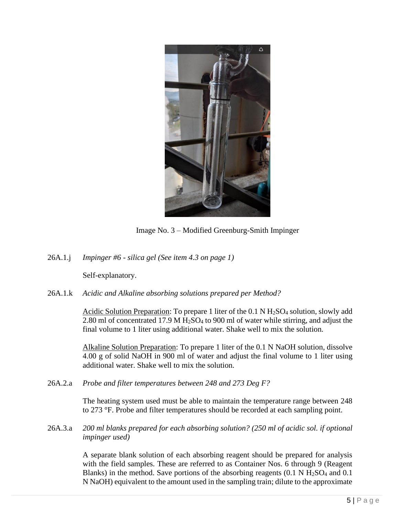

Image No. 3 – Modified Greenburg-Smith Impinger

26A.1.j *Impinger #6 - silica gel (See item 4.3 on page 1)*

Self-explanatory.

26A.1.k *Acidic and Alkaline absorbing solutions prepared per Method?*

Acidic Solution Preparation: To prepare 1 liter of the 0.1 N  $H_2SO_4$  solution, slowly add 2.80 ml of concentrated 17.9 M  $H<sub>2</sub>SO<sub>4</sub>$  to 900 ml of water while stirring, and adjust the final volume to 1 liter using additional water. Shake well to mix the solution.

Alkaline Solution Preparation: To prepare 1 liter of the 0.1 N NaOH solution, dissolve 4.00 g of solid NaOH in 900 ml of water and adjust the final volume to 1 liter using additional water. Shake well to mix the solution.

26A.2.a *Probe and filter temperatures between 248 and 273 Deg F?*

The heating system used must be able to maintain the temperature range between 248 to 273 °F. Probe and filter temperatures should be recorded at each sampling point.

26A.3.a *200 ml blanks prepared for each absorbing solution? (250 ml of acidic sol. if optional impinger used)*

> A separate blank solution of each absorbing reagent should be prepared for analysis with the field samples. These are referred to as Container Nos. 6 through 9 (Reagent Blanks) in the method. Save portions of the absorbing reagents  $(0.1 \text{ N H}_2\text{SO}_4$  and  $0.1 \text{ N H}_2\text{SO}_4$ N NaOH) equivalent to the amount used in the sampling train; dilute to the approximate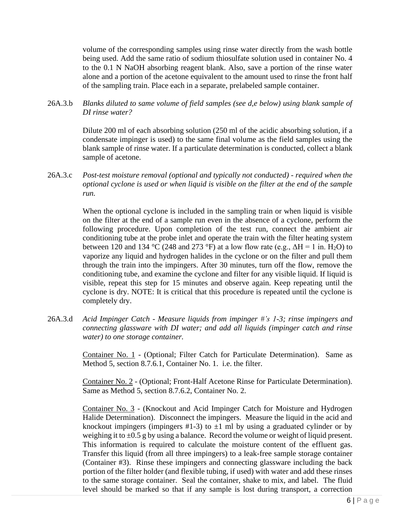volume of the corresponding samples using rinse water directly from the wash bottle being used. Add the same ratio of sodium thiosulfate solution used in container No. 4 to the 0.1 N NaOH absorbing reagent blank. Also, save a portion of the rinse water alone and a portion of the acetone equivalent to the amount used to rinse the front half of the sampling train. Place each in a separate, prelabeled sample container.

26A.3.b *Blanks diluted to same volume of field samples (see d,e below) using blank sample of DI rinse water?*

> Dilute 200 ml of each absorbing solution (250 ml of the acidic absorbing solution, if a condensate impinger is used) to the same final volume as the field samples using the blank sample of rinse water. If a particulate determination is conducted, collect a blank sample of acetone.

26A.3.c *Post-test moisture removal (optional and typically not conducted) - required when the optional cyclone is used or when liquid is visible on the filter at the end of the sample run.*

> When the optional cyclone is included in the sampling train or when liquid is visible on the filter at the end of a sample run even in the absence of a cyclone, perform the following procedure. Upon completion of the test run, connect the ambient air conditioning tube at the probe inlet and operate the train with the filter heating system between 120 and 134 °C (248 and 273 °F) at a low flow rate (e.g.,  $\Delta H = 1$  in. H<sub>2</sub>O) to vaporize any liquid and hydrogen halides in the cyclone or on the filter and pull them through the train into the impingers. After 30 minutes, turn off the flow, remove the conditioning tube, and examine the cyclone and filter for any visible liquid. If liquid is visible, repeat this step for 15 minutes and observe again. Keep repeating until the cyclone is dry. NOTE: It is critical that this procedure is repeated until the cyclone is completely dry.

26A.3.d *Acid Impinger Catch - Measure liquids from impinger #'s 1-3; rinse impingers and connecting glassware with DI water; and add all liquids (impinger catch and rinse water) to one storage container.*

> Container No. 1 - (Optional; Filter Catch for Particulate Determination). Same as Method 5, section 8.7.6.1, Container No. 1. i.e. the filter.

> Container No. 2 - (Optional; Front-Half Acetone Rinse for Particulate Determination). Same as Method 5, section 8.7.6.2, Container No. 2.

> Container No. 3 - (Knockout and Acid Impinger Catch for Moisture and Hydrogen Halide Determination). Disconnect the impingers. Measure the liquid in the acid and knockout impingers (impingers #1-3) to  $\pm 1$  ml by using a graduated cylinder or by weighing it to  $\pm 0.5$  g by using a balance. Record the volume or weight of liquid present. This information is required to calculate the moisture content of the effluent gas. Transfer this liquid (from all three impingers) to a leak-free sample storage container (Container #3). Rinse these impingers and connecting glassware including the back portion of the filter holder (and flexible tubing, if used) with water and add these rinses to the same storage container. Seal the container, shake to mix, and label. The fluid level should be marked so that if any sample is lost during transport, a correction